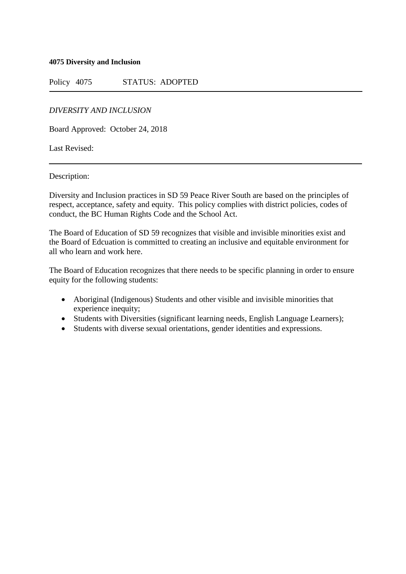**4075 Diversity and Inclusion**

Policy 4075 STATUS: ADOPTED

*DIVERSITY AND INCLUSION*

Board Approved: October 24, 2018

Last Revised:

Description:

Diversity and Inclusion practices in SD 59 Peace River South are based on the principles of respect, acceptance, safety and equity. This policy complies with district policies, codes of conduct, the BC Human Rights Code and the School Act.

The Board of Education of SD 59 recognizes that visible and invisible minorities exist and the Board of Edcuation is committed to creating an inclusive and equitable environment for all who learn and work here.

The Board of Education recognizes that there needs to be specific planning in order to ensure equity for the following students:

- Aboriginal (Indigenous) Students and other visible and invisible minorities that experience inequity;
- Students with Diversities (significant learning needs, English Language Learners);
- Students with diverse sexual orientations, gender identities and expressions.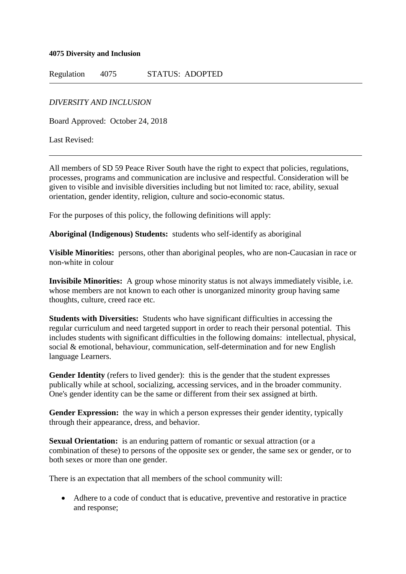## **4075 Diversity and Inclusion**

Regulation 4075 STATUS: ADOPTED

*DIVERSITY AND INCLUSION*

Board Approved: October 24, 2018

Last Revised:

All members of SD 59 Peace River South have the right to expect that policies, regulations, processes, programs and communication are inclusive and respectful. Consideration will be given to visible and invisible diversities including but not limited to: race, ability, sexual orientation, gender identity, religion, culture and socio-economic status.

For the purposes of this policy, the following definitions will apply:

**Aboriginal (Indigenous) Students:** students who self-identify as aboriginal

**Visible Minorities:** persons, other than aboriginal peoples, who are non-Caucasian in race or non-white in colour

**Invisibile Minorities:** A group whose minority status is not always immediately visible, i.e. whose members are not known to each other is unorganized minority group having same thoughts, culture, creed race etc.

**Students with Diversities:** Students who have significant difficulties in accessing the regular curriculum and need targeted support in order to reach their personal potential. This includes students with significant difficulties in the following domains: intellectual, physical, social & emotional, behaviour, communication, self-determination and for new English language Learners.

**Gender Identity** (refers to lived gender): this is the gender that the student expresses publically while at school, socializing, accessing services, and in the broader community. One's gender identity can be the same or different from their sex assigned at birth.

**Gender Expression:** the way in which a person expresses their gender identity, typically through their appearance, dress, and behavior.

**Sexual Orientation:** is an enduring pattern of romantic or sexual attraction (or a combination of these) to persons of the opposite sex or gender, the same sex or gender, or to both sexes or more than one gender.

There is an expectation that all members of the school community will:

• Adhere to a code of conduct that is educative, preventive and restorative in practice and response;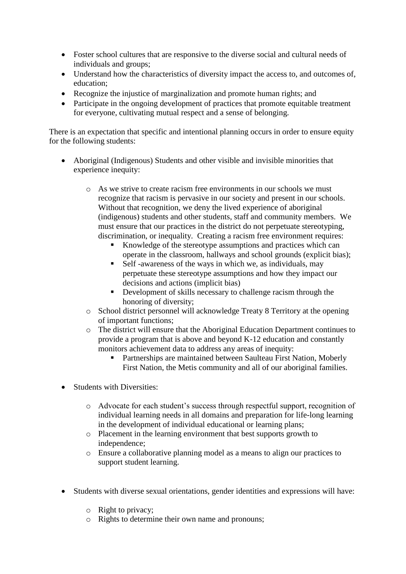- Foster school cultures that are responsive to the diverse social and cultural needs of individuals and groups;
- Understand how the characteristics of diversity impact the access to, and outcomes of, education;
- Recognize the injustice of marginalization and promote human rights; and
- Participate in the ongoing development of practices that promote equitable treatment for everyone, cultivating mutual respect and a sense of belonging.

There is an expectation that specific and intentional planning occurs in order to ensure equity for the following students:

- Aboriginal (Indigenous) Students and other visible and invisible minorities that experience inequity:
	- o As we strive to create racism free environments in our schools we must recognize that racism is pervasive in our society and present in our schools. Without that recognition, we deny the lived experience of aboriginal (indigenous) students and other students, staff and community members. We must ensure that our practices in the district do not perpetuate stereotyping, discrimination, or inequality. Creating a racism free environment requires:
		- Knowledge of the stereotype assumptions and practices which can operate in the classroom, hallways and school grounds (explicit bias);
		- Self-awareness of the ways in which we, as individuals, may perpetuate these stereotype assumptions and how they impact our decisions and actions (implicit bias)
		- **•** Development of skills necessary to challenge racism through the honoring of diversity;
	- o School district personnel will acknowledge Treaty 8 Territory at the opening of important functions;
	- o The district will ensure that the Aboriginal Education Department continues to provide a program that is above and beyond K-12 education and constantly monitors achievement data to address any areas of inequity:
		- Partnerships are maintained between Saulteau First Nation, Moberly First Nation, the Metis community and all of our aboriginal families.
- Students with Diversities:
	- o Advocate for each student's success through respectful support, recognition of individual learning needs in all domains and preparation for life-long learning in the development of individual educational or learning plans;
	- o Placement in the learning environment that best supports growth to independence;
	- o Ensure a collaborative planning model as a means to align our practices to support student learning.
- Students with diverse sexual orientations, gender identities and expressions will have:
	- o Right to privacy;
	- o Rights to determine their own name and pronouns;